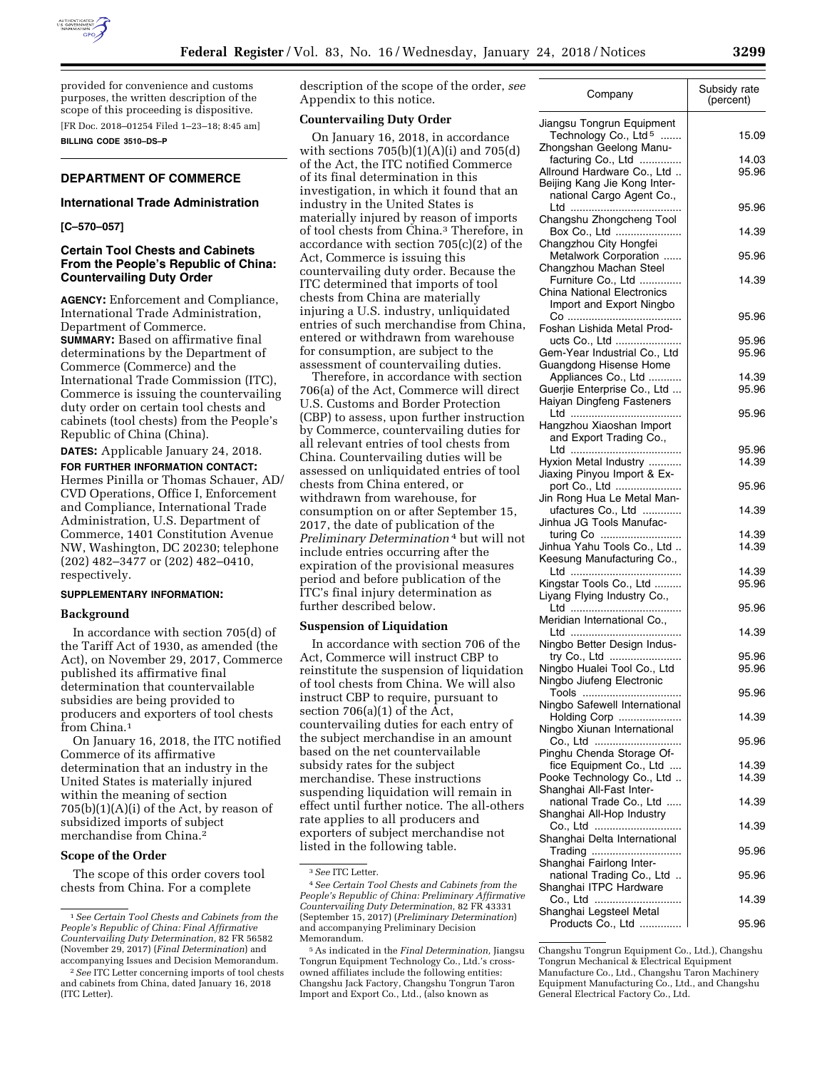

provided for convenience and customs purposes, the written description of the scope of this proceeding is dispositive.

[FR Doc. 2018–01254 Filed 1–23–18; 8:45 am]

**BILLING CODE 3510–DS–P** 

# **DEPARTMENT OF COMMERCE**

# **International Trade Administration**

### **[C–570–057]**

# **Certain Tool Chests and Cabinets From the People's Republic of China: Countervailing Duty Order**

**AGENCY:** Enforcement and Compliance, International Trade Administration, Department of Commerce. **SUMMARY:** Based on affirmative final determinations by the Department of Commerce (Commerce) and the International Trade Commission (ITC), Commerce is issuing the countervailing duty order on certain tool chests and cabinets (tool chests) from the People's Republic of China (China).

**DATES:** Applicable January 24, 2018.

**FOR FURTHER INFORMATION CONTACT:**  Hermes Pinilla or Thomas Schauer, AD/ CVD Operations, Office I, Enforcement and Compliance, International Trade Administration, U.S. Department of Commerce, 1401 Constitution Avenue NW, Washington, DC 20230; telephone (202) 482–3477 or (202) 482–0410, respectively.

### **SUPPLEMENTARY INFORMATION:**

### **Background**

In accordance with section 705(d) of the Tariff Act of 1930, as amended (the Act), on November 29, 2017, Commerce published its affirmative final determination that countervailable subsidies are being provided to producers and exporters of tool chests from China.<sup>1</sup>

On January 16, 2018, the ITC notified Commerce of its affirmative determination that an industry in the United States is materially injured within the meaning of section  $705(b)(1)(A)(i)$  of the Act, by reason of subsidized imports of subject merchandise from China.2

## **Scope of the Order**

The scope of this order covers tool chests from China. For a complete

description of the scope of the order, *see*  Appendix to this notice.

### **Countervailing Duty Order**

On January 16, 2018, in accordance with sections  $705(b)(1)(A)(i)$  and  $705(d)$ of the Act, the ITC notified Commerce of its final determination in this investigation, in which it found that an industry in the United States is materially injured by reason of imports of tool chests from China.3 Therefore, in accordance with section 705(c)(2) of the Act, Commerce is issuing this countervailing duty order. Because the ITC determined that imports of tool chests from China are materially injuring a U.S. industry, unliquidated entries of such merchandise from China, entered or withdrawn from warehouse for consumption, are subject to the assessment of countervailing duties.

Therefore, in accordance with section 706(a) of the Act, Commerce will direct U.S. Customs and Border Protection (CBP) to assess, upon further instruction by Commerce, countervailing duties for all relevant entries of tool chests from China. Countervailing duties will be assessed on unliquidated entries of tool chests from China entered, or withdrawn from warehouse, for consumption on or after September 15, 2017, the date of publication of the *Preliminary Determination* 4 but will not include entries occurring after the expiration of the provisional measures period and before publication of the ITC's final injury determination as further described below.

#### **Suspension of Liquidation**

In accordance with section 706 of the Act, Commerce will instruct CBP to reinstitute the suspension of liquidation of tool chests from China. We will also instruct CBP to require, pursuant to section 706(a)(1) of the Act, countervailing duties for each entry of the subject merchandise in an amount based on the net countervailable subsidy rates for the subject merchandise. These instructions suspending liquidation will remain in effect until further notice. The all-others rate applies to all producers and exporters of subject merchandise not listed in the following table.

<sup>5</sup>As indicated in the *Final Determination,* Jiangsu Tongrun Equipment Technology Co., Ltd.'s crossowned affiliates include the following entities: Changshu Jack Factory, Changshu Tongrun Taron Import and Export Co., Ltd., (also known as

| Company                                                                           | Subsidy rate<br>(percent) |
|-----------------------------------------------------------------------------------|---------------------------|
| Jiangsu Tongrun Equipment<br>Technology Co., Ltd <sup>5</sup>                     | 15.09                     |
| Zhongshan Geelong Manu-<br>facturing Co., Ltd<br>Allround Hardware Co., Ltd       | 14.03<br>95.96            |
| Beijing Kang Jie Kong Inter-<br>national Cargo Agent Co.,                         | 95.96                     |
| Changshu Zhongcheng Tool<br>Box Co., Ltd                                          | 14.39                     |
| Changzhou City Hongfei<br>Metalwork Corporation                                   | 95.96                     |
| Changzhou Machan Steel<br>Furniture Co., Ltd<br><b>China National Electronics</b> | 14.39                     |
| Import and Export Ningbo                                                          | 95.96                     |
| Foshan Lishida Metal Prod-<br>ucts Co., Ltd<br>Gem-Year Industrial Co., Ltd       | 95.96<br>95.96            |
| Guangdong Hisense Home<br>Appliances Co., Ltd                                     | 14.39                     |
| Guerjie Enterprise Co., Ltd<br>Haiyan Dingfeng Fasteners                          | 95.96                     |
| Hangzhou Xiaoshan Import<br>and Export Trading Co.,                               | 95.96                     |
| Hyxion Metal Industry<br>Jiaxing Pinyou Import & Ex-                              | 95.96<br>14.39            |
| port Co., Ltd<br>Jin Rong Hua Le Metal Man-                                       | 95.96                     |
| ufactures Co., Ltd<br>Jinhua JG Tools Manufac-                                    | 14.39                     |
| turing Co<br>Jinhua Yahu Tools Co., Ltd<br>Keesung Manufacturing Co.,             | 14.39<br>14.39            |
| Kingstar Tools Co., Ltd<br>Liyang Flying Industry Co.,                            | 14.39<br>95.96            |
| Meridian International Co                                                         | 95.96                     |
| Ningbo Better Design Indus-                                                       | 14.39                     |
| try Co., Ltd<br>Ningbo Hualei Tool Co., Ltd<br>Ningbo Jiufeng Electronic          | 95.96<br>95.96            |
| Tools<br>Ningbo Safewell International                                            | 95.96                     |
| Holding Corp<br>Ningbo Xiunan International                                       | 14.39                     |
| Co., Ltd<br>Pinghu Chenda Storage Of-                                             | 95.96                     |
| fice Equipment Co., Ltd<br>Pooke Technology Co., Ltd<br>Shanghai All-Fast Inter-  | 14.39<br>14.39            |
| national Trade Co., Ltd<br>Shanghai All-Hop Industry                              | 14.39                     |
| Co., Ltd<br>Shanghai Delta International                                          | 14.39                     |
| Trading<br>Shanghai Fairlong Inter-                                               | 95.96                     |
| national Trading Co., Ltd<br>Shanghai ITPC Hardware<br>Co., Ltd                   | 95.96<br>14.39            |
| Shanghai Legsteel Metal<br>Products Co., Ltd                                      | 95.96                     |

Changshu Tongrun Equipment Co., Ltd.), Changshu Tongrun Mechanical & Electrical Equipment Manufacture Co., Ltd., Changshu Taron Machinery Equipment Manufacturing Co., Ltd., and Changshu General Electrical Factory Co., Ltd.

<sup>1</sup>*See Certain Tool Chests and Cabinets from the People's Republic of China: Final Affirmative Countervailing Duty Determination,* 82 FR 56582 (November 29, 2017) (*Final Determination*) and accompanying Issues and Decision Memorandum.

<sup>2</sup>*See* ITC Letter concerning imports of tool chests and cabinets from China, dated January 16, 2018 (ITC Letter).

<sup>3</sup>*See* ITC Letter.

<sup>4</sup>*See Certain Tool Chests and Cabinets from the People's Republic of China: Preliminary Affirmative Countervailing Duty Determination,* 82 FR 43331 (September 15, 2017) (*Preliminary Determination*) and accompanying Preliminary Decision Memorandum.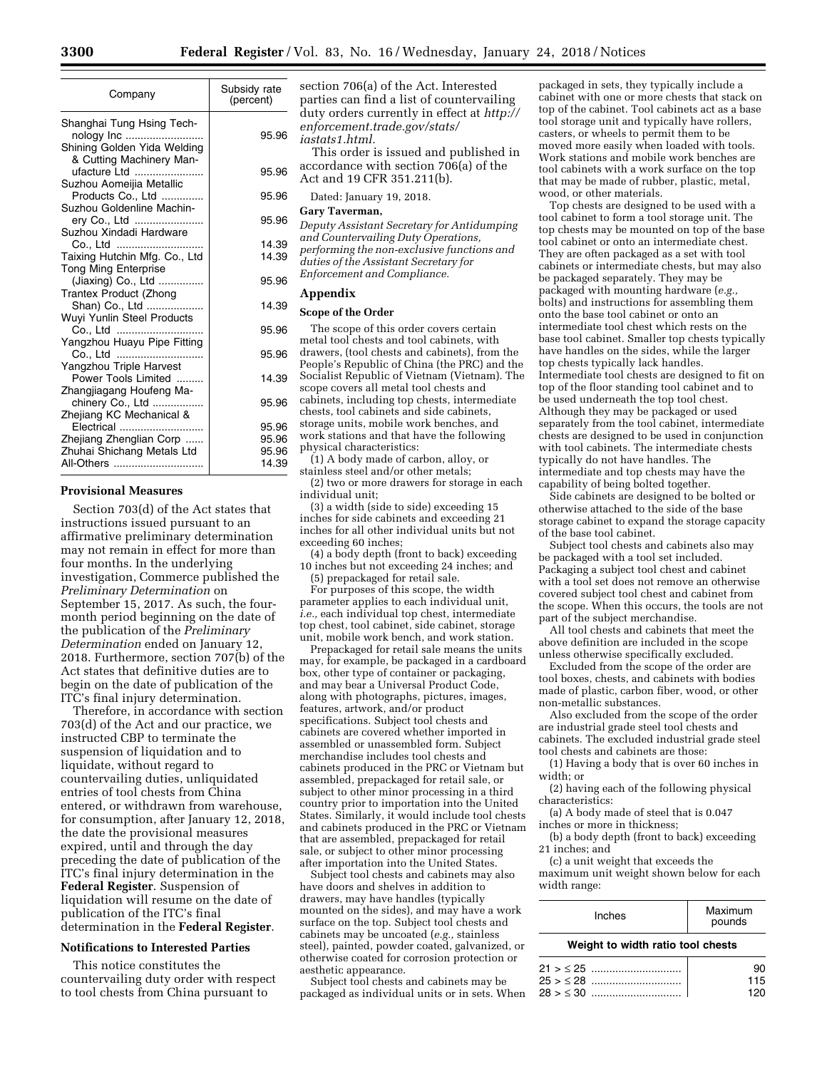| Company                                                                                                       | Subsidy rate<br>(percent)        |
|---------------------------------------------------------------------------------------------------------------|----------------------------------|
| Shanghai Tung Hsing Tech-<br>nology Inc<br>Shining Golden Yida Welding                                        | 95.96                            |
| & Cutting Machinery Man-<br>ufacture Ltd                                                                      | 95.96                            |
| Suzhou Aomeijia Metallic<br>Products Co., Ltd<br>Suzhou Goldenline Machin-                                    | 95.96                            |
| ery Co., Ltd<br>Suzhou Xindadi Hardware                                                                       | 95.96                            |
| Co., Ltd                                                                                                      | 14.39                            |
| Taixing Hutchin Mfg. Co., Ltd<br><b>Tong Ming Enterprise</b>                                                  | 14.39                            |
| (Jiaxing) Co., Ltd<br>Trantex Product (Zhong                                                                  | 95.96                            |
| Shan) Co., Ltd<br>Wuyi Yunlin Steel Products                                                                  | 14.39                            |
| Co., Ltd<br>Yangzhou Huayu Pipe Fitting                                                                       | 95.96                            |
| Co., Ltd<br>Yangzhou Triple Harvest                                                                           | 95.96                            |
| Power Tools Limited                                                                                           | 14.39                            |
| Zhangjiagang Houfeng Ma-<br>chinery Co., Ltd                                                                  | 95.96                            |
| Zhejiang KC Mechanical &<br>Electrical<br>Zhejiang Zhenglian Corp<br>Zhuhai Shichang Metals Ltd<br>All-Others | 95.96<br>95.96<br>95.96<br>14.39 |

## **Provisional Measures**

Section 703(d) of the Act states that instructions issued pursuant to an affirmative preliminary determination may not remain in effect for more than four months. In the underlying investigation, Commerce published the *Preliminary Determination* on September 15, 2017. As such, the fourmonth period beginning on the date of the publication of the *Preliminary Determination* ended on January 12, 2018. Furthermore, section 707(b) of the Act states that definitive duties are to begin on the date of publication of the ITC's final injury determination.

Therefore, in accordance with section 703(d) of the Act and our practice, we instructed CBP to terminate the suspension of liquidation and to liquidate, without regard to countervailing duties, unliquidated entries of tool chests from China entered, or withdrawn from warehouse, for consumption, after January 12, 2018, the date the provisional measures expired, until and through the day preceding the date of publication of the ITC's final injury determination in the **Federal Register**. Suspension of liquidation will resume on the date of publication of the ITC's final determination in the **Federal Register**.

## **Notifications to Interested Parties**

This notice constitutes the countervailing duty order with respect to tool chests from China pursuant to

section 706(a) of the Act. Interested parties can find a list of countervailing duty orders currently in effect at *[http://](http://enforcement.trade.gov/stats/iastats1.html)  [enforcement.trade.gov/stats/](http://enforcement.trade.gov/stats/iastats1.html) [iastats1.html.](http://enforcement.trade.gov/stats/iastats1.html)* 

This order is issued and published in accordance with section 706(a) of the Act and 19 CFR 351.211(b).

Dated: January 19, 2018.

#### **Gary Taverman,**

*Deputy Assistant Secretary for Antidumping and Countervailing Duty Operations, performing the non-exclusive functions and duties of the Assistant Secretary for* 

*Enforcement and Compliance.* 

# **Appendix**

### **Scope of the Order**

The scope of this order covers certain metal tool chests and tool cabinets, with drawers, (tool chests and cabinets), from the People's Republic of China (the PRC) and the Socialist Republic of Vietnam (Vietnam). The scope covers all metal tool chests and cabinets, including top chests, intermediate chests, tool cabinets and side cabinets, storage units, mobile work benches, and work stations and that have the following physical characteristics:

(1) A body made of carbon, alloy, or stainless steel and/or other metals;

(2) two or more drawers for storage in each individual unit;

(3) a width (side to side) exceeding 15 inches for side cabinets and exceeding 21 inches for all other individual units but not exceeding 60 inches;

(4) a body depth (front to back) exceeding 10 inches but not exceeding 24 inches; and

(5) prepackaged for retail sale.

For purposes of this scope, the width parameter applies to each individual unit, *i.e.,* each individual top chest, intermediate top chest, tool cabinet, side cabinet, storage unit, mobile work bench, and work station.

Prepackaged for retail sale means the units may, for example, be packaged in a cardboard box, other type of container or packaging, and may bear a Universal Product Code, along with photographs, pictures, images, features, artwork, and/or product specifications. Subject tool chests and cabinets are covered whether imported in assembled or unassembled form. Subject merchandise includes tool chests and cabinets produced in the PRC or Vietnam but assembled, prepackaged for retail sale, or subject to other minor processing in a third country prior to importation into the United States. Similarly, it would include tool chests and cabinets produced in the PRC or Vietnam that are assembled, prepackaged for retail sale, or subject to other minor processing after importation into the United States.

Subject tool chests and cabinets may also have doors and shelves in addition to drawers, may have handles (typically mounted on the sides), and may have a work surface on the top. Subject tool chests and cabinets may be uncoated (*e.g.,* stainless steel), painted, powder coated, galvanized, or otherwise coated for corrosion protection or aesthetic appearance.

Subject tool chests and cabinets may be packaged as individual units or in sets. When

packaged in sets, they typically include a cabinet with one or more chests that stack on top of the cabinet. Tool cabinets act as a base tool storage unit and typically have rollers, casters, or wheels to permit them to be moved more easily when loaded with tools. Work stations and mobile work benches are tool cabinets with a work surface on the top that may be made of rubber, plastic, metal, wood, or other materials.

Top chests are designed to be used with a tool cabinet to form a tool storage unit. The top chests may be mounted on top of the base tool cabinet or onto an intermediate chest. They are often packaged as a set with tool cabinets or intermediate chests, but may also be packaged separately. They may be packaged with mounting hardware (*e.g.,*  bolts) and instructions for assembling them onto the base tool cabinet or onto an intermediate tool chest which rests on the base tool cabinet. Smaller top chests typically have handles on the sides, while the larger top chests typically lack handles. Intermediate tool chests are designed to fit on top of the floor standing tool cabinet and to be used underneath the top tool chest. Although they may be packaged or used separately from the tool cabinet, intermediate chests are designed to be used in conjunction with tool cabinets. The intermediate chests typically do not have handles. The intermediate and top chests may have the capability of being bolted together.

Side cabinets are designed to be bolted or otherwise attached to the side of the base storage cabinet to expand the storage capacity of the base tool cabinet.

Subject tool chests and cabinets also may be packaged with a tool set included. Packaging a subject tool chest and cabinet with a tool set does not remove an otherwise covered subject tool chest and cabinet from the scope. When this occurs, the tools are not part of the subject merchandise.

All tool chests and cabinets that meet the above definition are included in the scope unless otherwise specifically excluded.

Excluded from the scope of the order are tool boxes, chests, and cabinets with bodies made of plastic, carbon fiber, wood, or other non-metallic substances.

Also excluded from the scope of the order are industrial grade steel tool chests and cabinets. The excluded industrial grade steel tool chests and cabinets are those:

(1) Having a body that is over 60 inches in width; or

(2) having each of the following physical characteristics:

(a) A body made of steel that is 0.047 inches or more in thickness;

(b) a body depth (front to back) exceeding 21 inches; and

(c) a unit weight that exceeds the maximum unit weight shown below for each width range:

| <b>Inches</b> | Maximum<br>pounds |
|---------------|-------------------|
|---------------|-------------------|

#### **Weight to width ratio tool chests**

| 115 |
|-----|
|     |